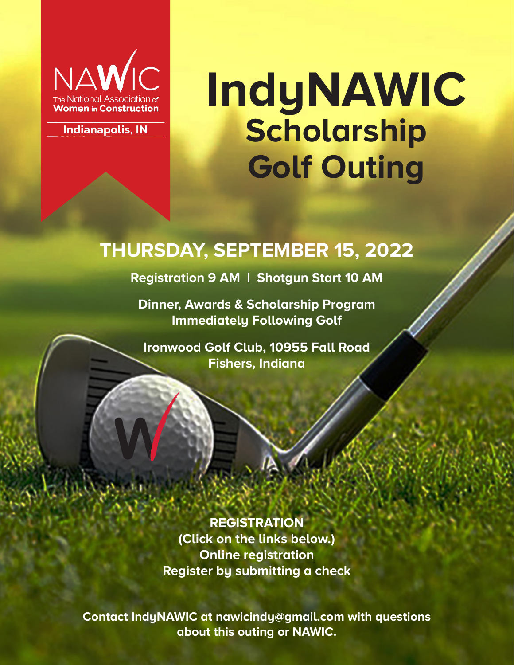

**Indianapolis, IN** 

# **IndyNAWIC Scholarship Golf Outing**

### **THURSDAY, SEPTEMBER 15, 2022**

### **Registration 9 AM | Shotgun Start 10 AM**

**Dinner, Awards & Scholarship Program Immediately Following Golf**

**Ironwood Golf Club, 10955 Fall Road Fishers, Indiana**

**REGISTRATION (Click on the links below.) Online registration Register by submitting a check**

**Contact IndyNAWIC at nawicindy@gmail.com with questions about this outing or NAWIC.**